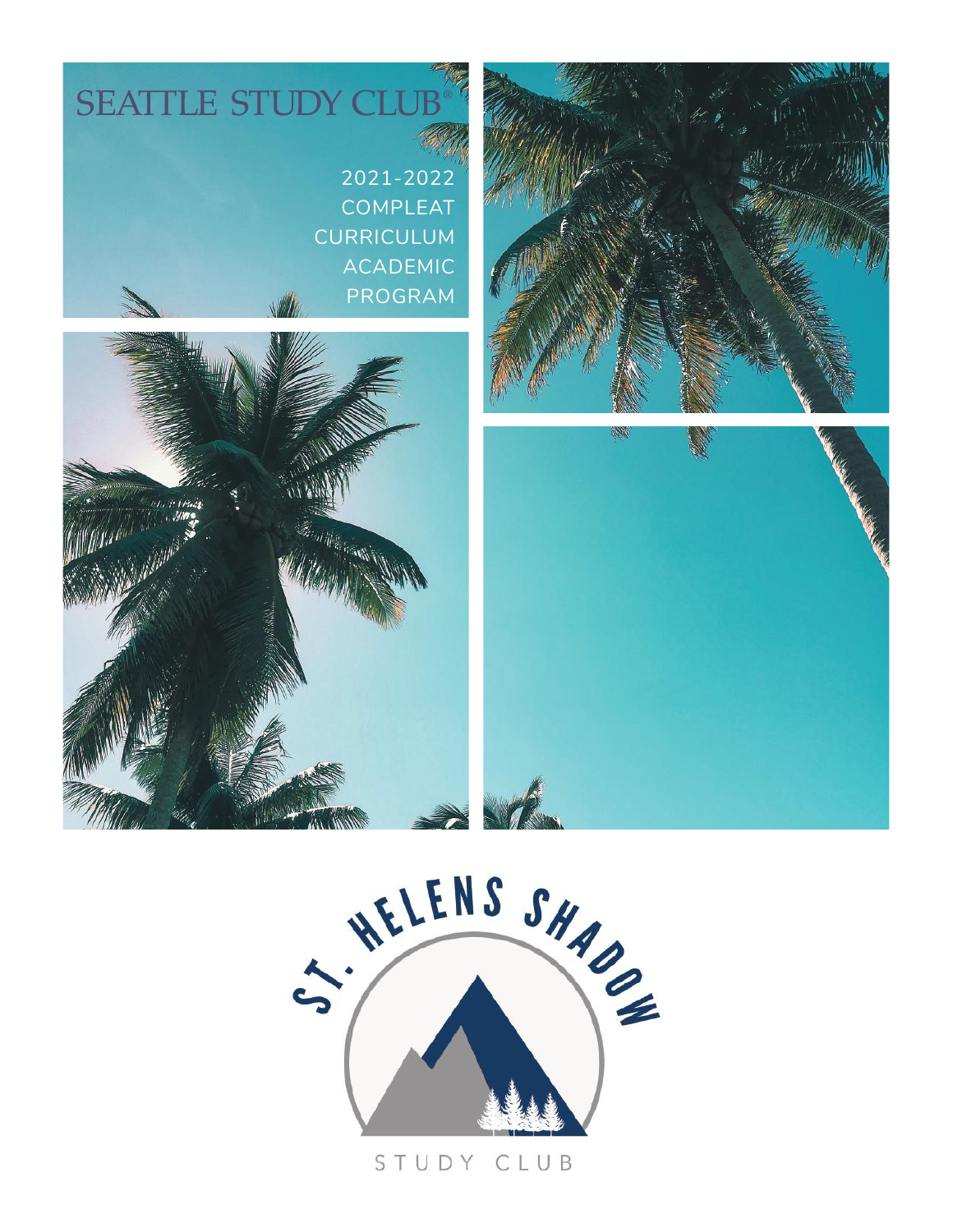



#### STUDY CLUB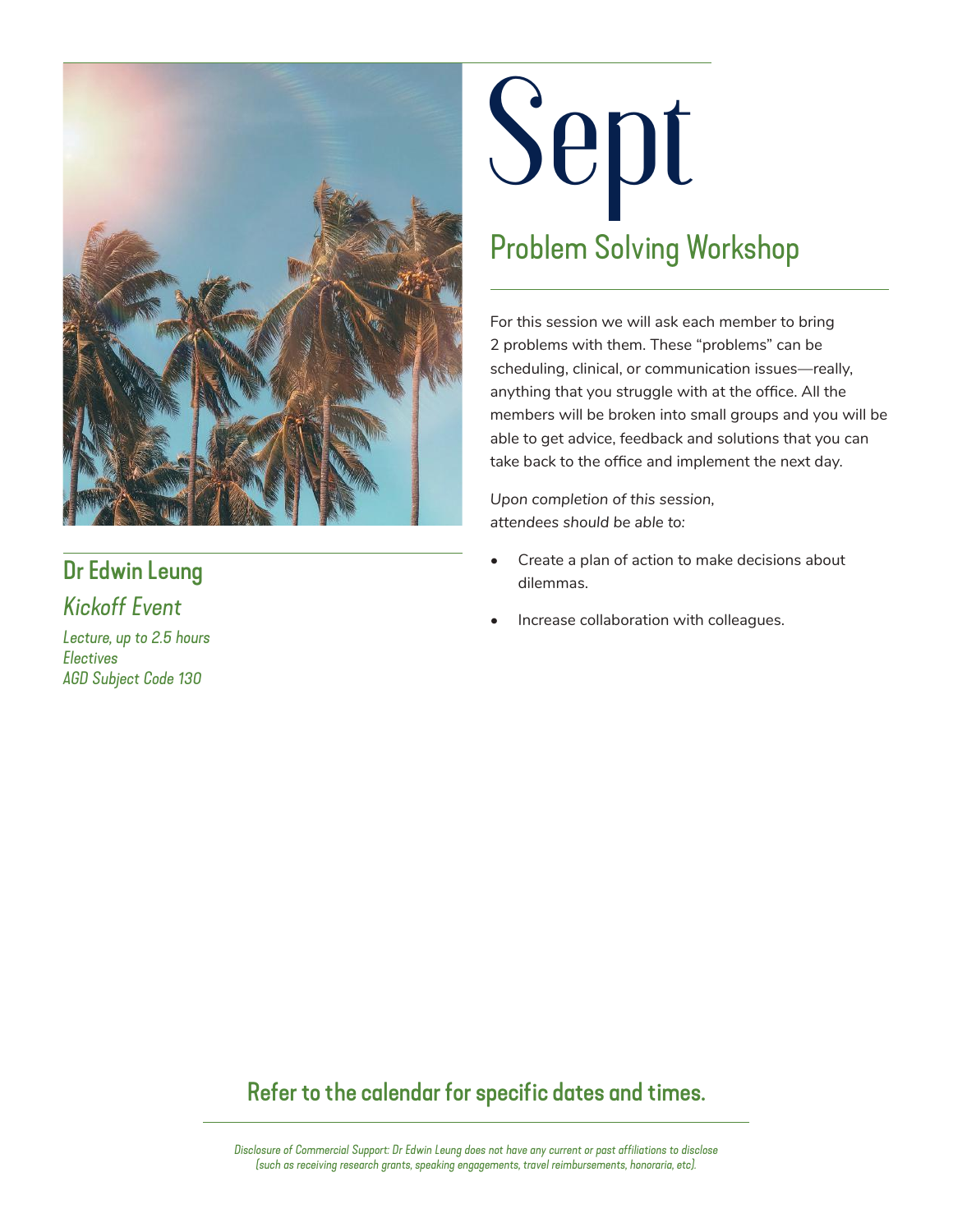

## Dr Edwin Leung

*Kickoff Event*

*Lecture, up to 2.5 hours Electives AGD Subject Code 130*

## **Sept** Problem Solving Workshop

For this session we will ask each member to bring 2 problems with them. These "problems" can be scheduling, clinical, or communication issues—really, anything that you struggle with at the office. All the members will be broken into small groups and you will be able to get advice, feedback and solutions that you can take back to the office and implement the next day.

*Upon completion of this session, attendees should be able to:* 

- Create a plan of action to make decisions about dilemmas.
- Increase collaboration with colleagues.

## Refer to the calendar for specific dates and times.

*Disclosure of Commercial Support: Dr Edwin Leung does not have any current or past affiliations to disclose (such as receiving research grants, speaking engagements, travel reimbursements, honoraria, etc).*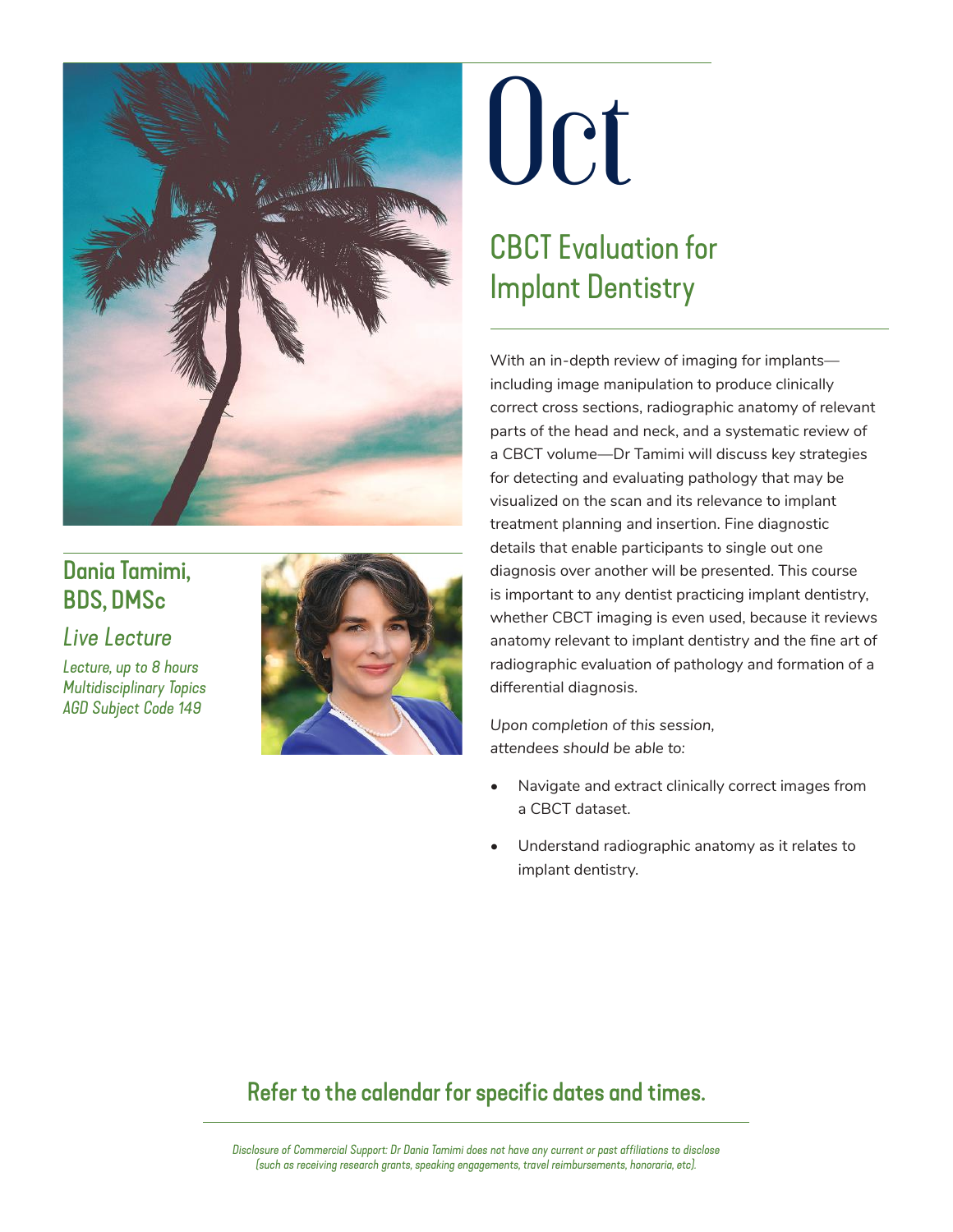

## Dania Tamimi, BDS, DMSc

#### *Live Lecture*

*Lecture, up to 8 hours Multidisciplinary Topics AGD Subject Code 149*



## **Oct**

## CBCT Evaluation for Implant Dentistry

With an in-depth review of imaging for implants including image manipulation to produce clinically correct cross sections, radiographic anatomy of relevant parts of the head and neck, and a systematic review of a CBCT volume—Dr Tamimi will discuss key strategies for detecting and evaluating pathology that may be visualized on the scan and its relevance to implant treatment planning and insertion. Fine diagnostic details that enable participants to single out one diagnosis over another will be presented. This course is important to any dentist practicing implant dentistry, whether CBCT imaging is even used, because it reviews anatomy relevant to implant dentistry and the fine art of radiographic evaluation of pathology and formation of a differential diagnosis.

*Upon completion of this session, attendees should be able to:* 

- Navigate and extract clinically correct images from a CBCT dataset.
- Understand radiographic anatomy as it relates to implant dentistry.

## Refer to the calendar for specific dates and times.

*Disclosure of Commercial Support: Dr Dania Tamimi does not have any current or past affiliations to disclose (such as receiving research grants, speaking engagements, travel reimbursements, honoraria, etc).*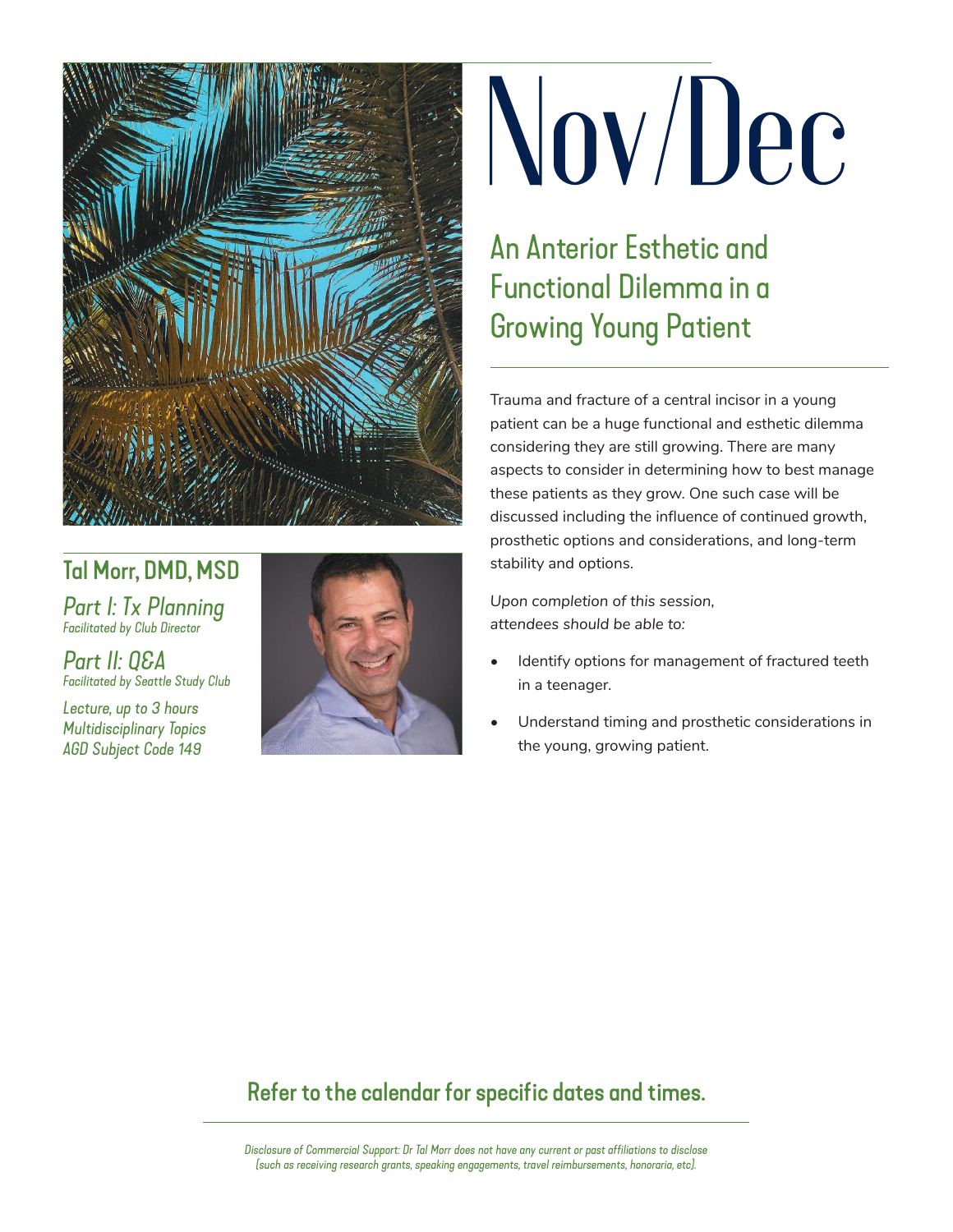

### Tal Morr, DMD, MSD

*Part I: Tx Planning Facilitated by Club Director*

*Part II: Q&A Facilitated by Seattle Study Club*

*Lecture, up to 3 hours Multidisciplinary Topics AGD Subject Code 149*



# **Nov/Dec**

An Anterior Esthetic and Functional Dilemma in a Growing Young Patient

Trauma and fracture of a central incisor in a young patient can be a huge functional and esthetic dilemma considering they are still growing. There are many aspects to consider in determining how to best manage these patients as they grow. One such case will be discussed including the influence of continued growth, prosthetic options and considerations, and long-term stability and options.

*Upon completion of this session, attendees should be able to:*

- Identify options for management of fractured teeth in a teenager.
- Understand timing and prosthetic considerations in the young, growing patient.

### Refer to the calendar for specific dates and times.

*Disclosure of Commercial Support: Dr Tal Morr does not have any current or past affiliations to disclose (such as receiving research grants, speaking engagements, travel reimbursements, honoraria, etc).*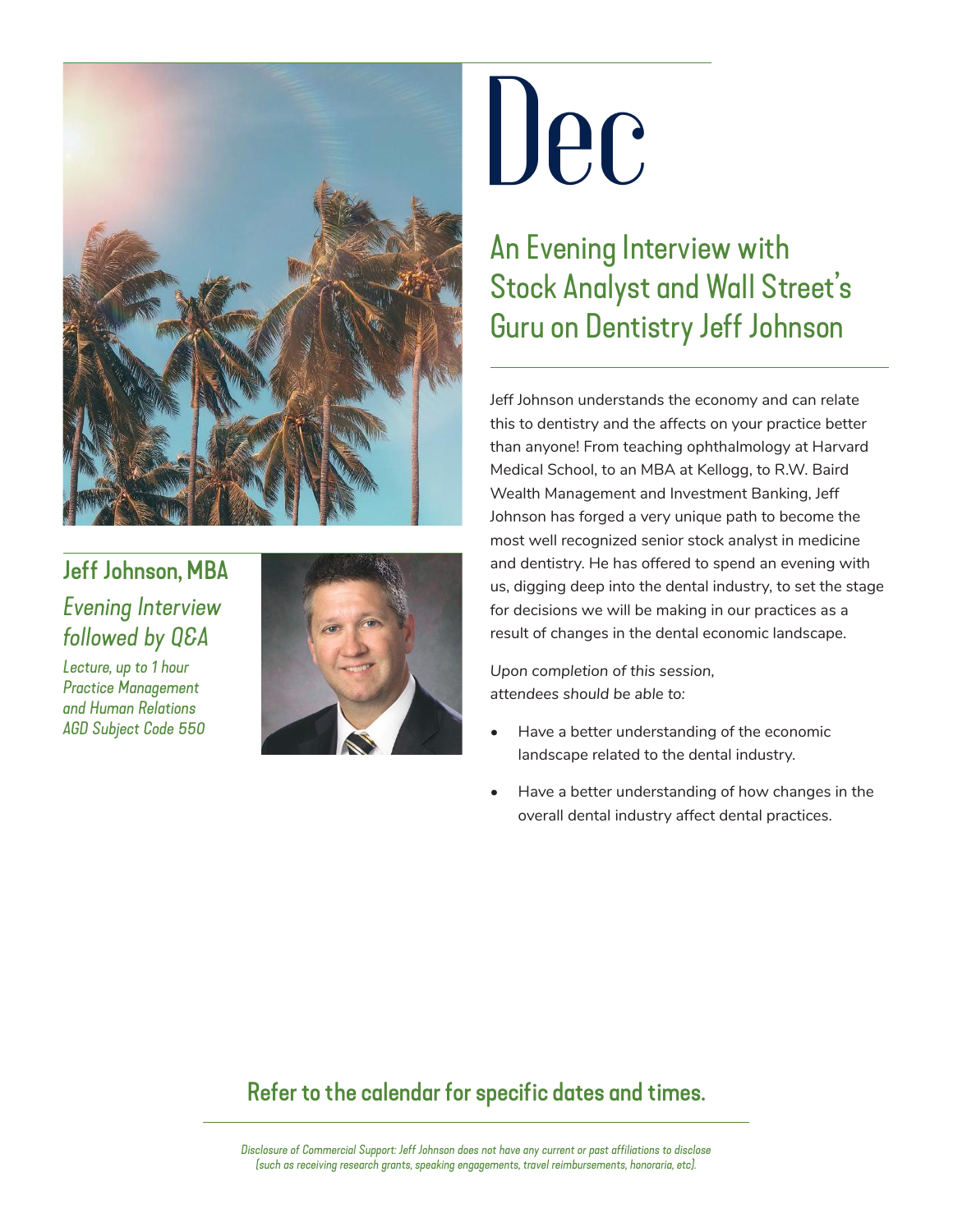

## Jeff Johnson, MBA *Evening Interview followed by Q&A*

*Lecture, up to 1 hour Practice Management and Human Relations AGD Subject Code 550*



## **Dec**

## An Evening Interview with Stock Analyst and Wall Street's Guru on Dentistry Jeff Johnson

Jeff Johnson understands the economy and can relate this to dentistry and the affects on your practice better than anyone! From teaching ophthalmology at Harvard Medical School, to an MBA at Kellogg, to R.W. Baird Wealth Management and Investment Banking, Jeff Johnson has forged a very unique path to become the most well recognized senior stock analyst in medicine and dentistry. He has offered to spend an evening with us, digging deep into the dental industry, to set the stage for decisions we will be making in our practices as a result of changes in the dental economic landscape.

*Upon completion of this session, attendees should be able to:* 

- Have a better understanding of the economic landscape related to the dental industry.
- Have a better understanding of how changes in the overall dental industry affect dental practices.

### Refer to the calendar for specific dates and times.

*Disclosure of Commercial Support: Jeff Johnson does not have any current or past affiliations to disclose (such as receiving research grants, speaking engagements, travel reimbursements, honoraria, etc).*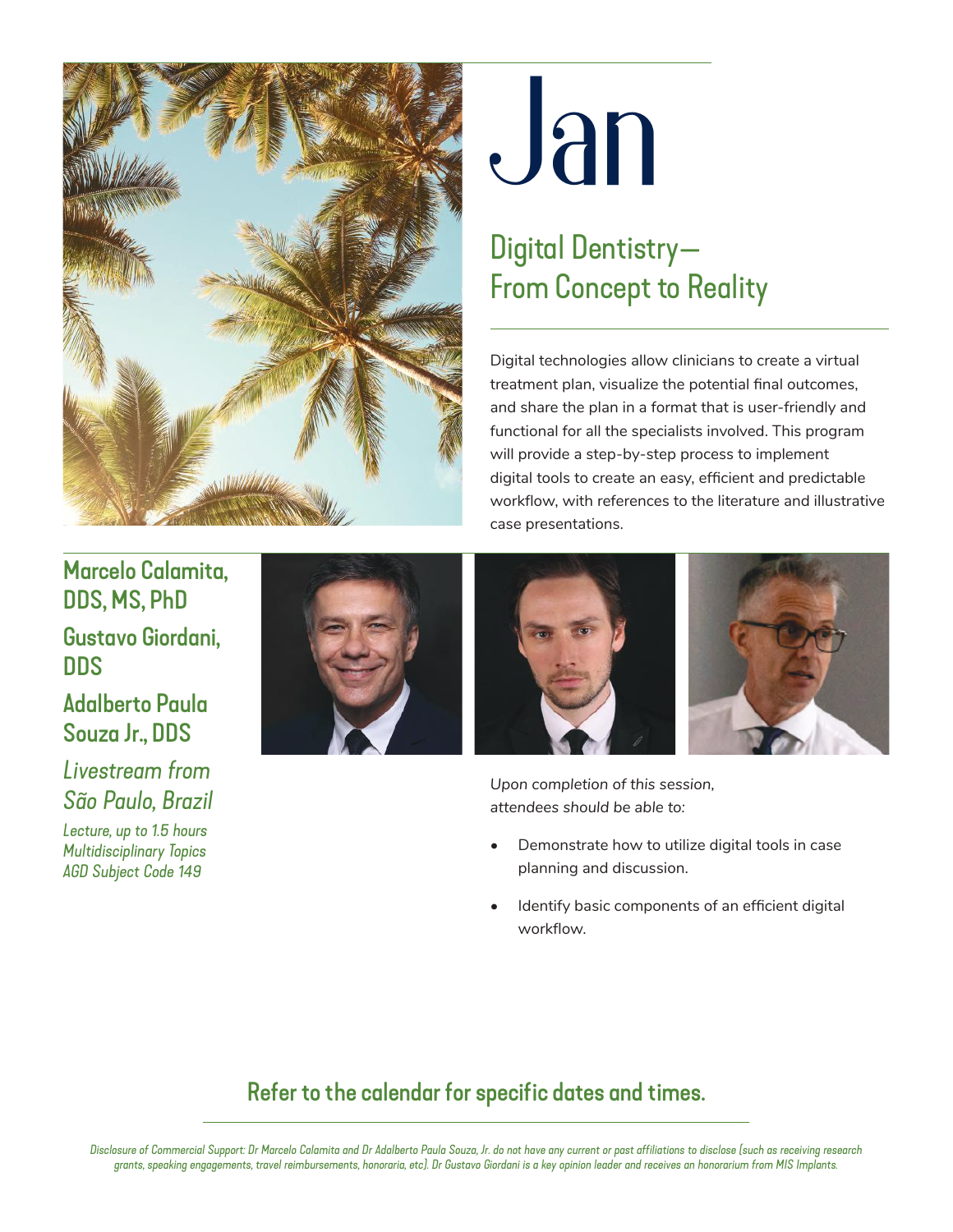

## **Jan**

## Digital Dentistry— From Concept to Reality

Digital technologies allow clinicians to create a virtual treatment plan, visualize the potential final outcomes, and share the plan in a format that is user-friendly and functional for all the specialists involved. This program will provide a step-by-step process to implement digital tools to create an easy, efficient and predictable workflow, with references to the literature and illustrative case presentations.

## Marcelo Calamita, DDS, MS, PhD Gustavo Giordani, DDS

### Adalberto Paula Souza Jr., DDS

*Livestream from São Paulo, Brazil*

*Lecture, up to 1.5 hours Multidisciplinary Topics AGD Subject Code 149*







*Upon completion of this session, attendees should be able to:* 

- Demonstrate how to utilize digital tools in case planning and discussion.
- Identify basic components of an efficient digital workflow.

## Refer to the calendar for specific dates and times.

*Disclosure of Commercial Support: Dr Marcelo Calamita and Dr Adalberto Paula Souza, Jr. do not have any current or past affiliations to disclose (such as receiving research grants, speaking engagements, travel reimbursements, honoraria, etc). Dr Gustavo Giordani is a key opinion leader and receives an honorarium from MIS Implants.*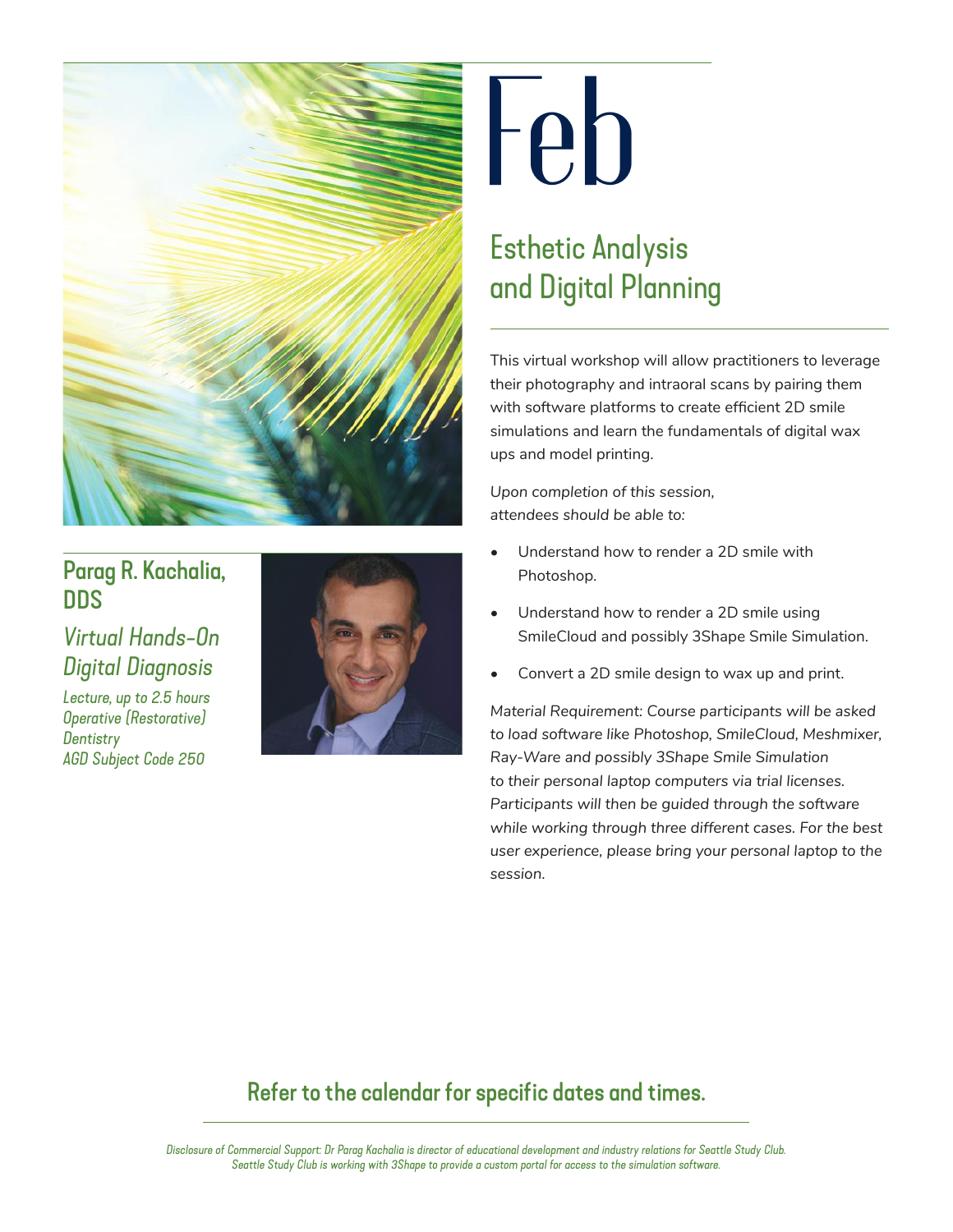

## Parag R. Kachalia, DDS

## *Virtual Hands-On Digital Diagnosis*

*Lecture, up to 2.5 hours Operative (Restorative) Dentistry AGD Subject Code 250*



## **Feb**

## Esthetic Analysis and Digital Planning

This virtual workshop will allow practitioners to leverage their photography and intraoral scans by pairing them with software platforms to create efficient 2D smile simulations and learn the fundamentals of digital wax ups and model printing.

*Upon completion of this session, attendees should be able to:* 

- Understand how to render a 2D smile with Photoshop.
- Understand how to render a 2D smile using SmileCloud and possibly 3Shape Smile Simulation.
- Convert a 2D smile design to wax up and print.

*Material Requirement: Course participants will be asked to load software like Photoshop, SmileCloud, Meshmixer, Ray-Ware and possibly 3Shape Smile Simulation to their personal laptop computers via trial licenses. Participants will then be guided through the software while working through three different cases. For the best user experience, please bring your personal laptop to the session.*

## Refer to the calendar for specific dates and times.

*Disclosure of Commercial Support: Dr Parag Kachalia is director of educational development and industry relations for Seattle Study Club. Seattle Study Club is working with 3Shape to provide a custom portal for access to the simulation software.*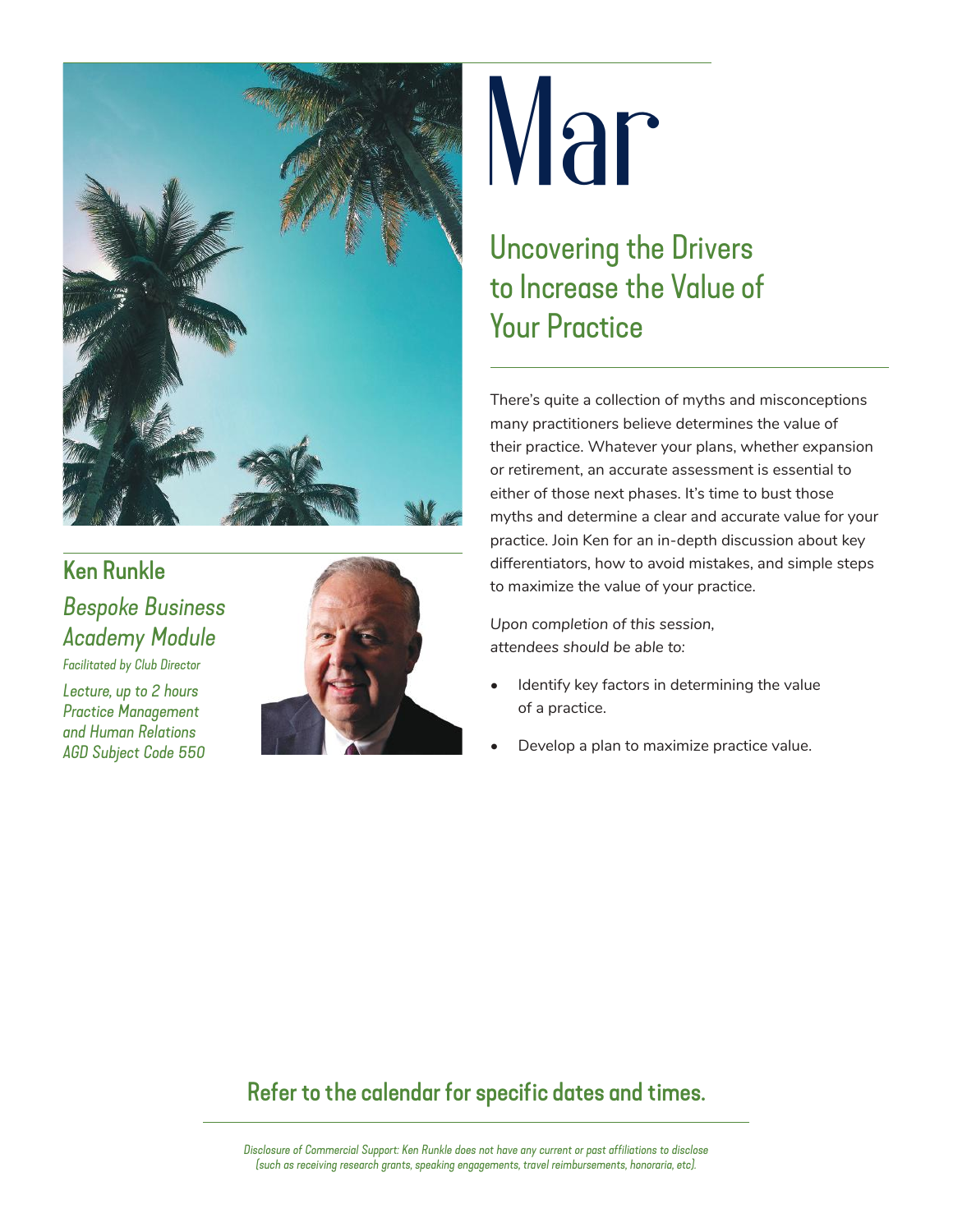

## Ken Runkle *Bespoke Business Academy Module*

*Facilitated by Club Director*

*Lecture, up to 2 hours Practice Management and Human Relations AGD Subject Code 550*



## **Mar**

Uncovering the Drivers to Increase the Value of Your Practice

There's quite a collection of myths and misconceptions many practitioners believe determines the value of their practice. Whatever your plans, whether expansion or retirement, an accurate assessment is essential to either of those next phases. It's time to bust those myths and determine a clear and accurate value for your practice. Join Ken for an in-depth discussion about key differentiators, how to avoid mistakes, and simple steps to maximize the value of your practice.

*Upon completion of this session, attendees should be able to:* 

- Identify key factors in determining the value of a practice.
- Develop a plan to maximize practice value.

## Refer to the calendar for specific dates and times.

*Disclosure of Commercial Support: Ken Runkle does not have any current or past affiliations to disclose (such as receiving research grants, speaking engagements, travel reimbursements, honoraria, etc).*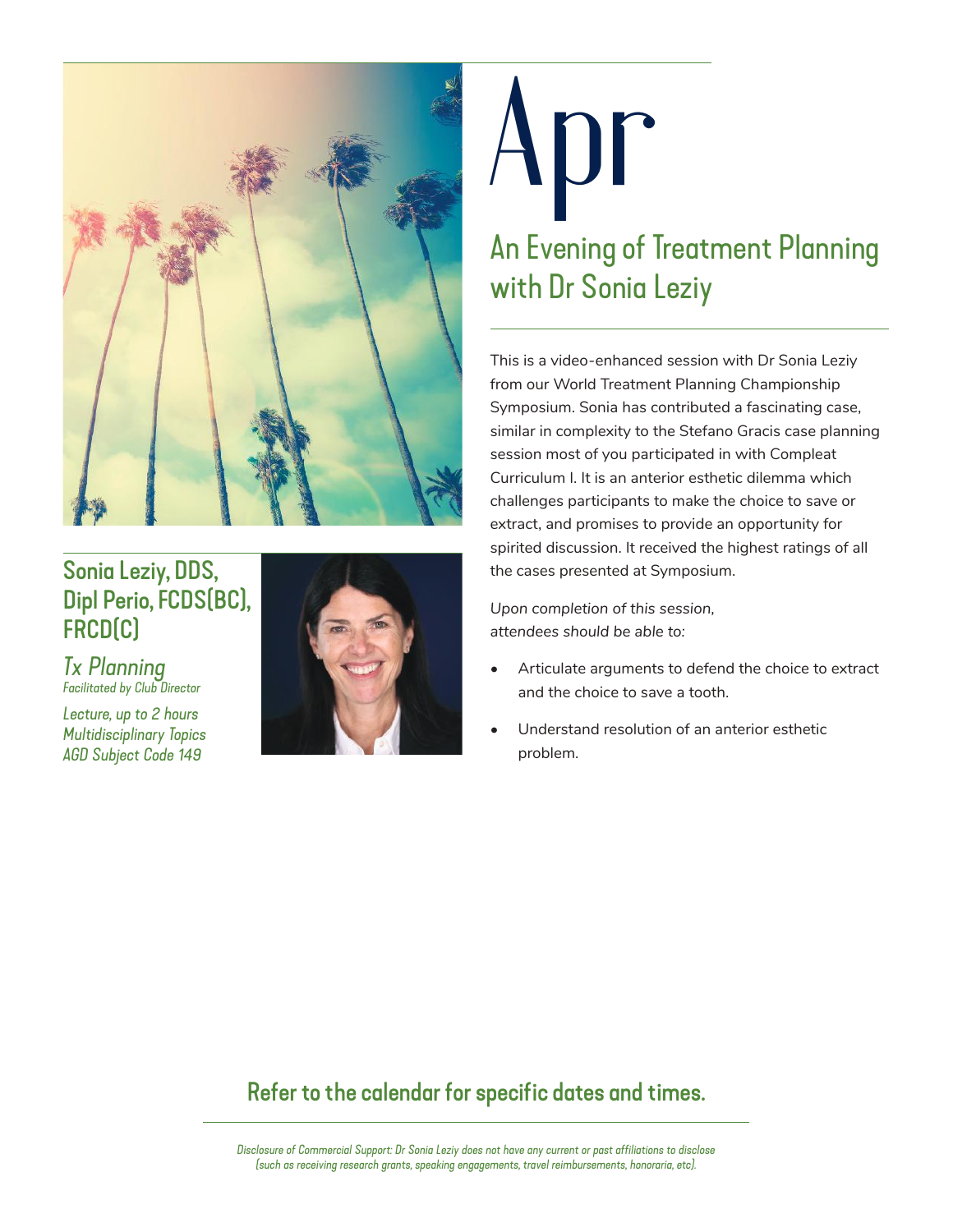

## Sonia Leziy, DDS, Dipl Perio, FCDS(BC), FRCD(C)

*Tx Planning Facilitated by Club Director*

*Lecture, up to 2 hours Multidisciplinary Topics AGD Subject Code 149*



## **Apr** An Evening of Treatment Planning with Dr Sonia Leziy

This is a video-enhanced session with Dr Sonia Leziy from our World Treatment Planning Championship Symposium. Sonia has contributed a fascinating case, similar in complexity to the Stefano Gracis case planning session most of you participated in with Compleat Curriculum I. It is an anterior esthetic dilemma which challenges participants to make the choice to save or extract, and promises to provide an opportunity for spirited discussion. It received the highest ratings of all the cases presented at Symposium.

*Upon completion of this session, attendees should be able to:* 

- Articulate arguments to defend the choice to extract and the choice to save a tooth.
- Understand resolution of an anterior esthetic problem.

### Refer to the calendar for specific dates and times.

*Disclosure of Commercial Support: Dr Sonia Leziy does not have any current or past affiliations to disclose (such as receiving research grants, speaking engagements, travel reimbursements, honoraria, etc).*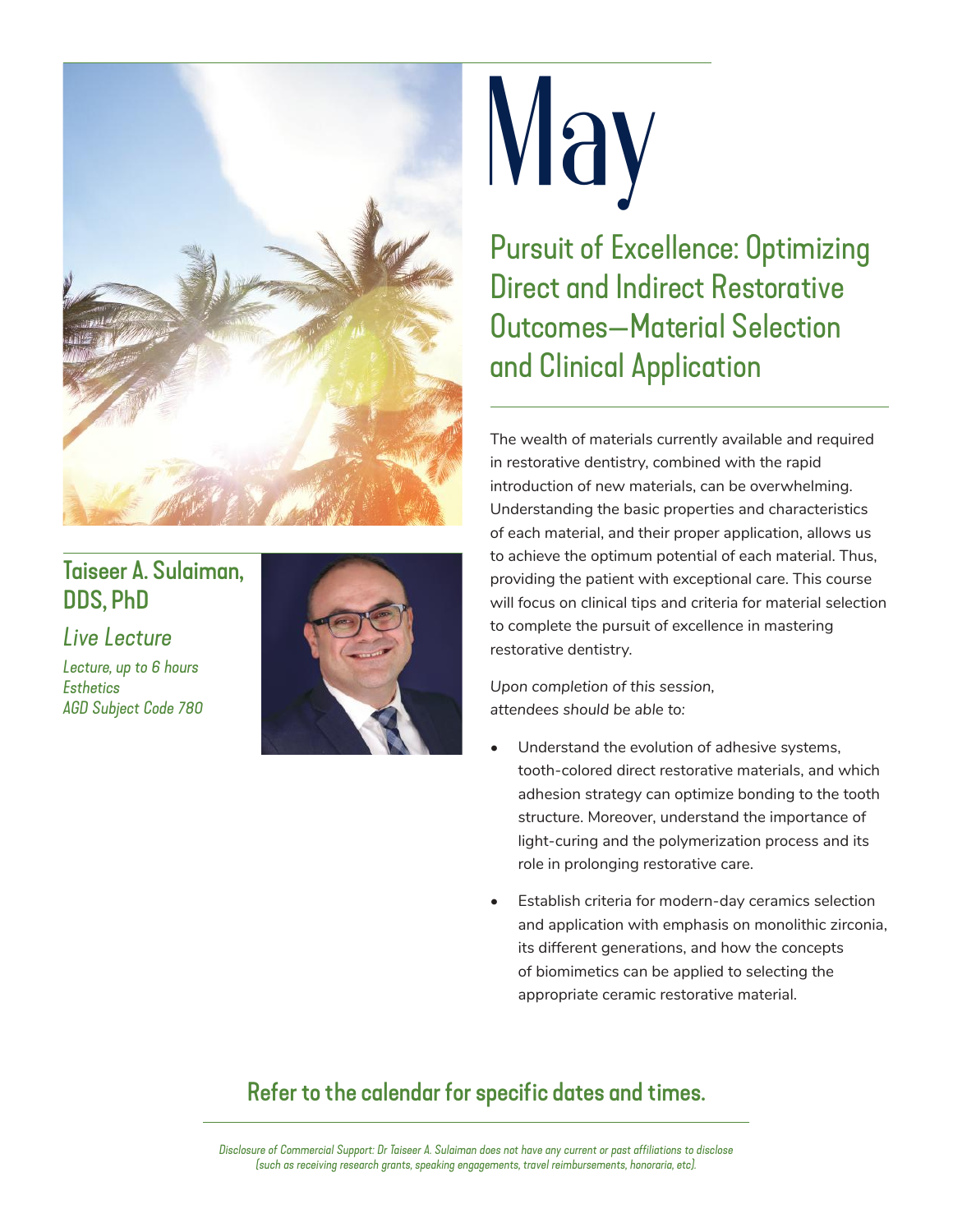

## Taiseer A. Sulaiman, DDS, PhD

*Live Lecture*

*Lecture, up to 6 hours Esthetics AGD Subject Code 780*



# **May**

Pursuit of Excellence: Optimizing Direct and Indirect Restorative Outcomes—Material Selection and Clinical Application

The wealth of materials currently available and required in restorative dentistry, combined with the rapid introduction of new materials, can be overwhelming. Understanding the basic properties and characteristics of each material, and their proper application, allows us to achieve the optimum potential of each material. Thus, providing the patient with exceptional care. This course will focus on clinical tips and criteria for material selection to complete the pursuit of excellence in mastering restorative dentistry.

*Upon completion of this session, attendees should be able to:*

- Understand the evolution of adhesive systems, tooth-colored direct restorative materials, and which adhesion strategy can optimize bonding to the tooth structure. Moreover, understand the importance of light-curing and the polymerization process and its role in prolonging restorative care.
- Establish criteria for modern-day ceramics selection and application with emphasis on monolithic zirconia, its different generations, and how the concepts of biomimetics can be applied to selecting the appropriate ceramic restorative material.

## Refer to the calendar for specific dates and times.

*Disclosure of Commercial Support: Dr Taiseer A. Sulaiman does not have any current or past affiliations to disclose (such as receiving research grants, speaking engagements, travel reimbursements, honoraria, etc).*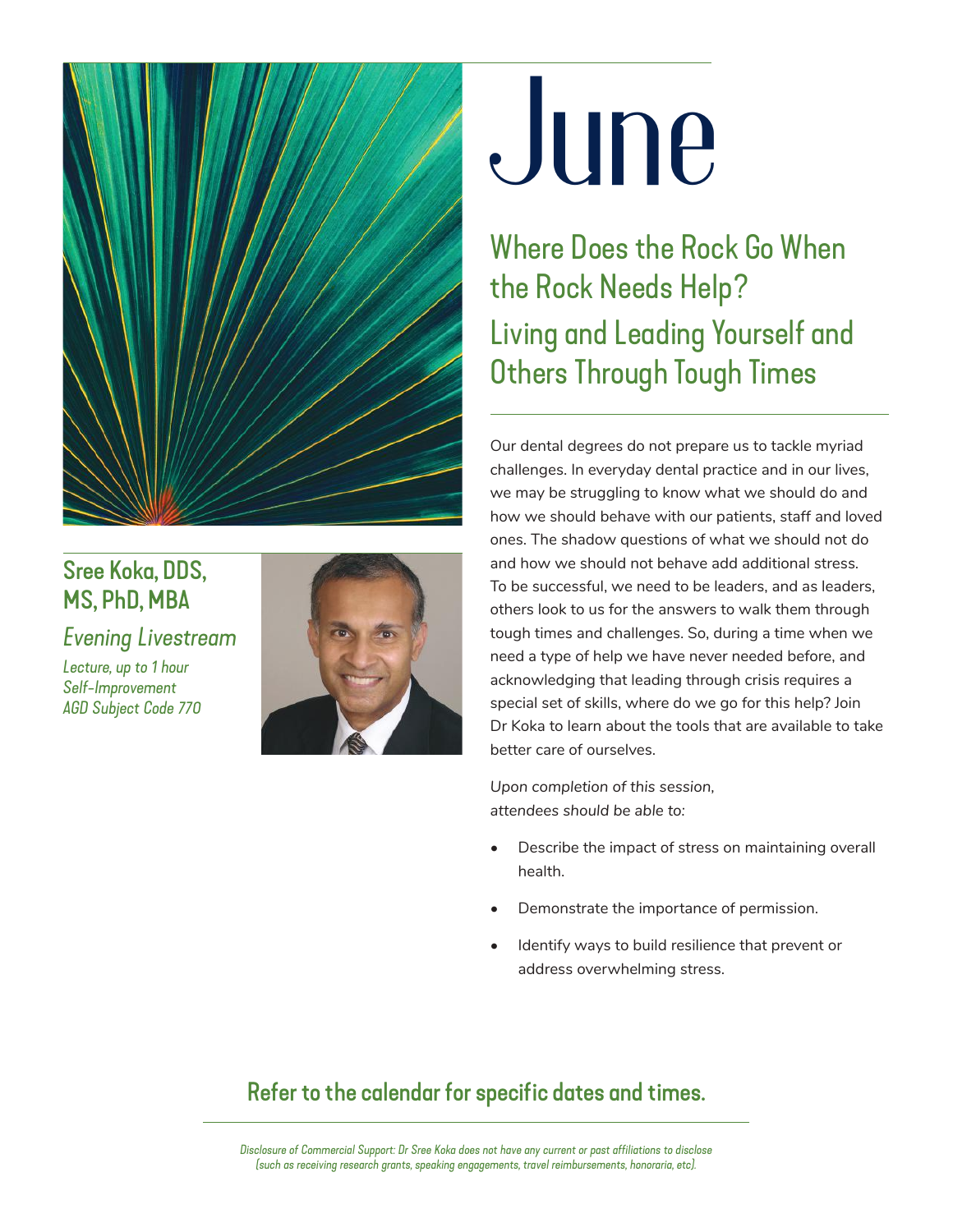

## Sree Koka, DDS, MS, PhD, MBA

*Evening Livestream*

*Lecture, up to 1 hour Self-Improvement AGD Subject Code 770*



## **June**

Where Does the Rock Go When the Rock Needs Help? Living and Leading Yourself and Others Through Tough Times

Our dental degrees do not prepare us to tackle myriad challenges. In everyday dental practice and in our lives, we may be struggling to know what we should do and how we should behave with our patients, staff and loved ones. The shadow questions of what we should not do and how we should not behave add additional stress. To be successful, we need to be leaders, and as leaders, others look to us for the answers to walk them through tough times and challenges. So, during a time when we need a type of help we have never needed before, and acknowledging that leading through crisis requires a special set of skills, where do we go for this help? Join Dr Koka to learn about the tools that are available to take better care of ourselves.

*Upon completion of this session, attendees should be able to:* 

- Describe the impact of stress on maintaining overall health.
- Demonstrate the importance of permission.
- Identify ways to build resilience that prevent or address overwhelming stress.

## Refer to the calendar for specific dates and times.

*Disclosure of Commercial Support: Dr Sree Koka does not have any current or past affiliations to disclose (such as receiving research grants, speaking engagements, travel reimbursements, honoraria, etc).*